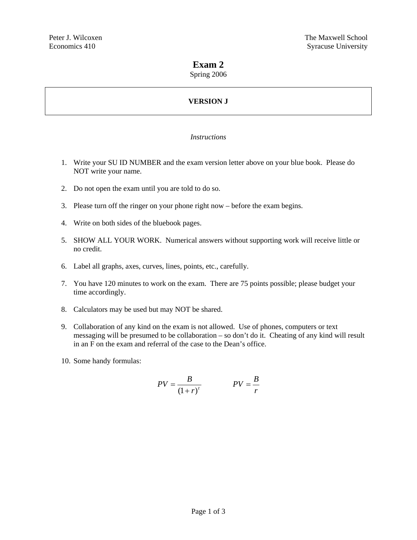# **Exam 2**

# Spring 2006

# **VERSION J**

# *Instructions*

- 1. Write your SU ID NUMBER and the exam version letter above on your blue book. Please do NOT write your name.
- 2. Do not open the exam until you are told to do so.
- 3. Please turn off the ringer on your phone right now before the exam begins.
- 4. Write on both sides of the bluebook pages.
- 5. SHOW ALL YOUR WORK. Numerical answers without supporting work will receive little or no credit.
- 6. Label all graphs, axes, curves, lines, points, etc., carefully.
- 7. You have 120 minutes to work on the exam. There are 75 points possible; please budget your time accordingly.
- 8. Calculators may be used but may NOT be shared.
- 9. Collaboration of any kind on the exam is not allowed. Use of phones, computers or text messaging will be presumed to be collaboration – so don't do it. Cheating of any kind will result in an F on the exam and referral of the case to the Dean's office.
- 10. Some handy formulas:

$$
PV = \frac{B}{\left(1+r\right)^{t}} \qquad PV = \frac{B}{r}
$$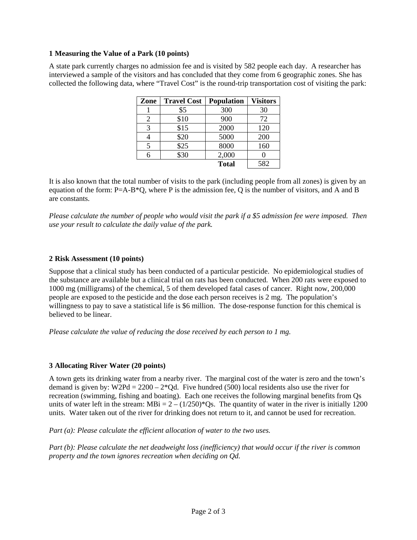#### **1 Measuring the Value of a Park (10 points)**

A state park currently charges no admission fee and is visited by 582 people each day. A researcher has interviewed a sample of the visitors and has concluded that they come from 6 geographic zones. She has collected the following data, where "Travel Cost" is the round-trip transportation cost of visiting the park:

| Zone | <b>Travel Cost</b> | <b>Population</b> | <b>Visitors</b> |
|------|--------------------|-------------------|-----------------|
|      | \$5                | 300               | 30              |
|      | \$10               | 900               | 72              |
| 3    | \$15               | 2000              | 120             |
|      | \$20               | 5000              | 200             |
|      | \$25               | 8000              | 160             |
|      | \$30               | 2,000             |                 |
|      |                    | <b>Total</b>      | 582             |

It is also known that the total number of visits to the park (including people from all zones) is given by an equation of the form: P=A-B\*Q, where P is the admission fee, Q is the number of visitors, and A and B are constants.

*Please calculate the number of people who would visit the park if a \$5 admission fee were imposed. Then use your result to calculate the daily value of the park.* 

#### **2 Risk Assessment (10 points)**

Suppose that a clinical study has been conducted of a particular pesticide. No epidemiological studies of the substance are available but a clinical trial on rats has been conducted. When 200 rats were exposed to 1000 mg (milligrams) of the chemical, 5 of them developed fatal cases of cancer. Right now, 200,000 people are exposed to the pesticide and the dose each person receives is 2 mg. The population's willingness to pay to save a statistical life is \$6 million. The dose-response function for this chemical is believed to be linear.

*Please calculate the value of reducing the dose received by each person to 1 mg.* 

#### **3 Allocating River Water (20 points)**

A town gets its drinking water from a nearby river. The marginal cost of the water is zero and the town's demand is given by:  $W2Pd = 2200 - 2*Qd$ . Five hundred (500) local residents also use the river for recreation (swimming, fishing and boating). Each one receives the following marginal benefits from Qs units of water left in the stream:  $MBi = 2 - (1/250)^*Qs$ . The quantity of water in the river is initially 1200 units. Water taken out of the river for drinking does not return to it, and cannot be used for recreation.

*Part (a): Please calculate the efficient allocation of water to the two uses.* 

*Part (b): Please calculate the net deadweight loss (inefficiency) that would occur if the river is common property and the town ignores recreation when deciding on Qd.*